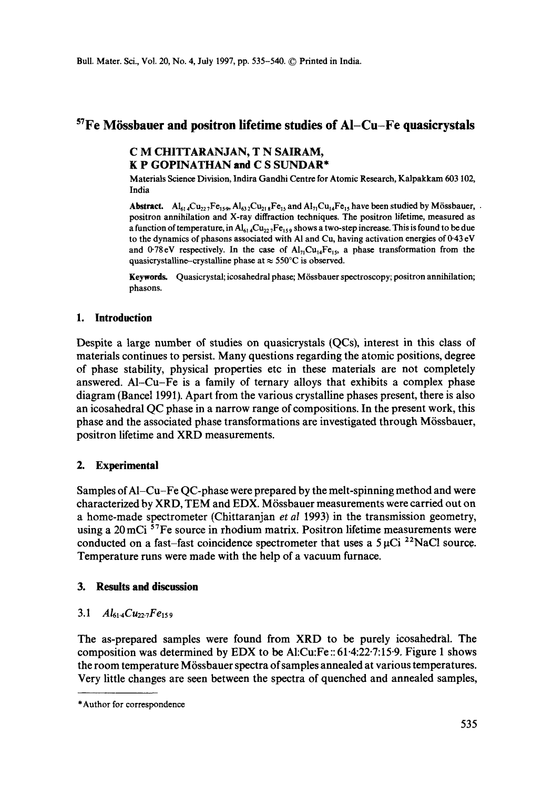# **STFe MGssbauer and positron lifetime studies of AI-Cu-Fe quasicrystals**

# C M CHITTARANJAN, T N SAIRAM, **K P GOPINATHAN and C S** SUNDAR\*

Materials Science Division, Indira Gandhi Centre for Atomic Research, Kalpakkam 603 102, India

Abstract.  $Al_{614}Cu_{222}Fe_{159}$ ,  $Al_{632}Cu_{218}Fe_{15}$  and  $Al_{71}Cu_{14}Fe_{15}$  have been studied by Mössbauer,  $\cdot$ positron annihilation and X-ray diffraction techniques. The positron lifetime, measured as a function of temperature, in  $Al_{614}Cu_{227}Fe_{159}$  shows a two-step increase. This is found to be due to the dynamics of phasons associated with A1 and Cu, having activation energies of 0-43 eV and 0.78 eV respectively. In the case of  $Al_{71}Cu_{14}Fe_{15}$ , a phase transformation from the quasicrystalline-crystalline phase at  $\approx$  550°C is observed.

Keywords. Quasicrystal; icosahedral phase; M6ssbauer spectroscopy; positron annihilation; phasons.

### **1. Introduction**

Despite a large number of studies on quasicrystals (QCs), interest in this class of materials continues to persist. Many questions regarding the atomic positions, degree of phase stability, physical properties etc in these materials are not completely answered. A1-Cu-Fe is a family of ternary alloys that exhibits a complex phase diagram (Bancel 1991). Apart from the various crystalline phases present, there is also an icosahedral QC phase in a narrow range of compositions. In the present work, this phase and the associated phase transformations are investigated through M6ssbauer, positron lifetime and XRD measurements.

### **2. Experimental**

Samples of A1-Cu-Fe QC-phase were prepared by the melt-spinning method and were characterized by XRD, TEM and EDX. M6ssbauer measurements were carried out on a home-made spectrometer (Chittaranjan *et al* 1993) in the transmission geometry, using a 20 mCi <sup>57</sup>Fe source in rhodium matrix. Positron lifetime measurements were conducted on a fast-fast coincidence spectrometer that uses a  $5 \mu$ Ci <sup>22</sup>NaCl source. Temperature runs were made with the help of a vacuum furnace.

### **3. Results and discussion**

# *3.1 A161.4Cu22.7Fe15 9*

The as-prepared samples were found from XRD to be purely icosahedral. The composition was determined by EDX to be AI:Cu:Fe :: 61.4:22.7:15-9. Figure 1 shows the room temperature M6ssbauer spectra of samples annealed at various temperatures. Very little changes are seen between the spectra of quenched and annealed samples,

<sup>\*</sup>Author for correspondence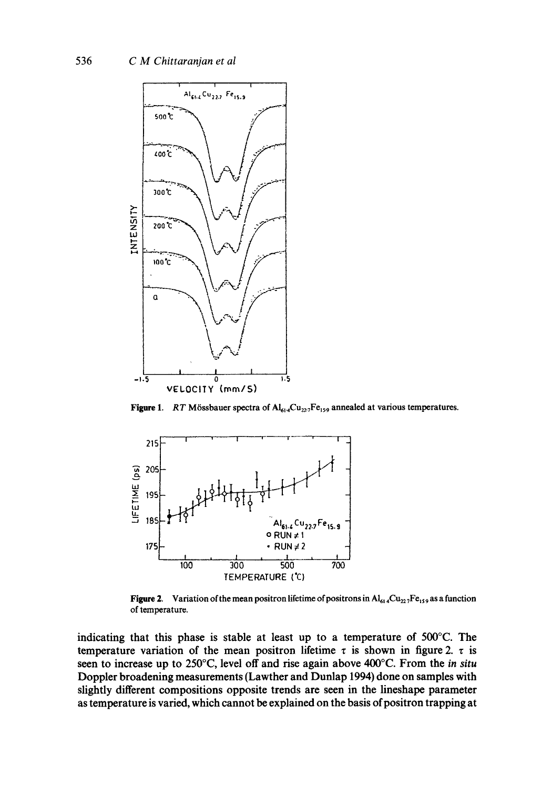

Figure 1. RT Mössbauer spectra of  $Al_{614}Cu_{227}Fe_{159}$  annealed at various temperatures.



**Figure 2.** Variation of the mean positron lifetime of positrons in  $Al_{614}Cu_{222}Fe_{159}$  as a function of temperature.

indicating that this phase is stable at least up to a temperature of 500°C. The temperature variation of the mean positron lifetime  $\tau$  is shown in figure 2.  $\tau$  is seen to increase up to 250°C, level off and rise again above 400°C. From the in situ Doppler broadening measurements (Lawther and Dunlap 1994) done on samples with slightly different compositions opposite trends are seen in the lineshape parameter as temperature is varied, which cannot be explained on the basis of positron trapping at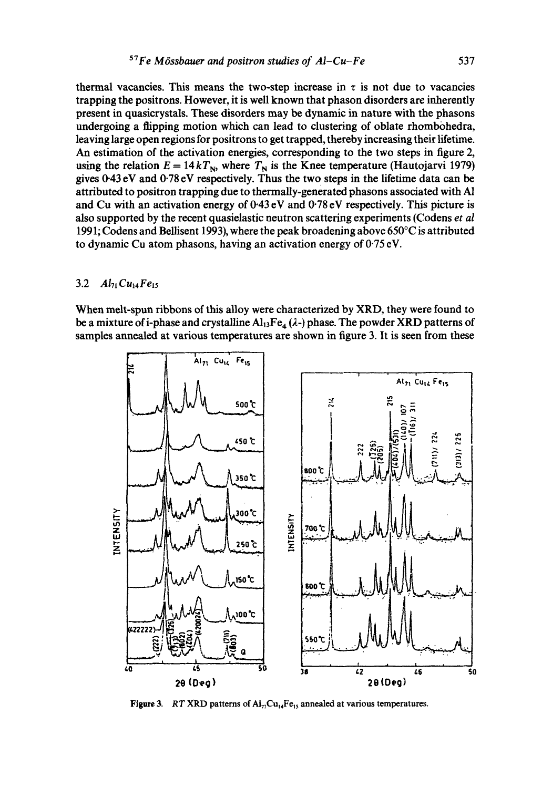thermal vacancies. This means the two-step increase in  $\tau$  is not due to vacancies trapping the positrons. However, it is well known that phason disorders are inherently present in quasicrystals. These disorders may be dynamic in nature with the phasons undergoing a flipping motion which can lead to clustering of oblate rhombohedra, leaving large open regions for positrons to get trapped, thereby increasing their lifetime. An estimation of the activation energies, corresponding to the two steps in figure 2, using the relation  $E = 14 kT_N$ , where  $T_N$  is the Knee temperature (Hautojarvi 1979) gives 0-43 eV and 0.78 eV respectively. Thus the two steps in the lifetime data can be attributed to positron trapping due to thermally-generated phasons associated with A1 and Cu with an activation energy of 0.43 eV and 0.78 eV respectively. This picture is also supported by the recent quasielastic neutron scattering experiments (Codens *et al*  1991; Codens and Bellisent 1993), where the peak broadening above 650°C is attributed to dynamic Cu atom phasons, having an activation energy of 0-75 eV.

#### 3.2 *A171Cu14Fe15*

When melt-spun ribbons of this alloy were characterized by XRD, they were found to be a mixture of i-phase and crystalline  $Al<sub>13</sub>Fe<sub>4</sub>(\lambda-)$  phase. The powder XRD patterns of samples annealed at various temperatures are shown in figure 3. It is seen from these



**Figure 3.** *RT* XRD patterns of  $Ai_{71}Cu_{14}Fe_{15}$  annealed at various temperatures.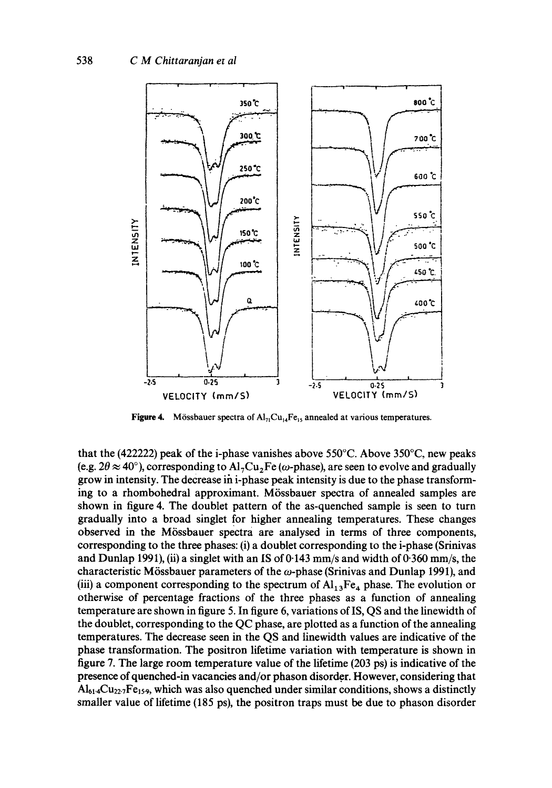

Figure 4. Mössbauer spectra of  $Al_{71}Cu_{14}Fe_{15}$  annealed at various temperatures.

that the (422222) peak of the i-phase vanishes above 550°C. Above 350°C, new peaks (e.g.  $2\theta \approx 40^{\circ}$ ), corresponding to Al<sub>7</sub>Cu<sub>2</sub>Fe ( $\omega$ -phase), are seen to evolve and gradually grow in intensity. The decrease in  $i$ -phase peak intensity is due to the phase transforming to a rhombohedral approximant. Mössbauer spectra of annealed samples are shown in figure 4. The doublet pattern of the as-quenched sample is seen to turn gradually into a broad singlet for higher annealing temperatures. These changes observed in the Mössbauer spectra are analysed in terms of three components, corresponding to the three phases: (i) a doublet corresponding to the i-phase (Srinivas and Dunlap 1991), (ii) a singlet with an IS of  $0.143$  mm/s and width of  $0.360$  mm/s, the characteristic Mössbauer parameters of the  $\omega$ -phase (Srinivas and Dunlap 1991), and (iii) a component corresponding to the spectrum of  $Al_{13}Fe_4$  phase. The evolution or otherwise of percentage fractions of the three phases as a function of annealing temperature are shown in figure 5. In figure 6, variations of IS, QS and the linewidth of the doublet, corresponding to the QC phase, are plotted as a function of the annealing temperatures. The decrease seen in the QS and linewidth values are indicative of the phase transformation. The positron lifetime variation with temperature is shown in figure 7. The large room temperature value of the lifetime (203 ps) is indicative of the presence of quenched-in vacancies and/or phason disorder. However, considering that  $Al_{614}Cu_{227}Fe_{159}$ , which was also quenched under similar conditions, shows a distinctly smaller value of lifetime (185 ps), the positron traps must be due to phason disorder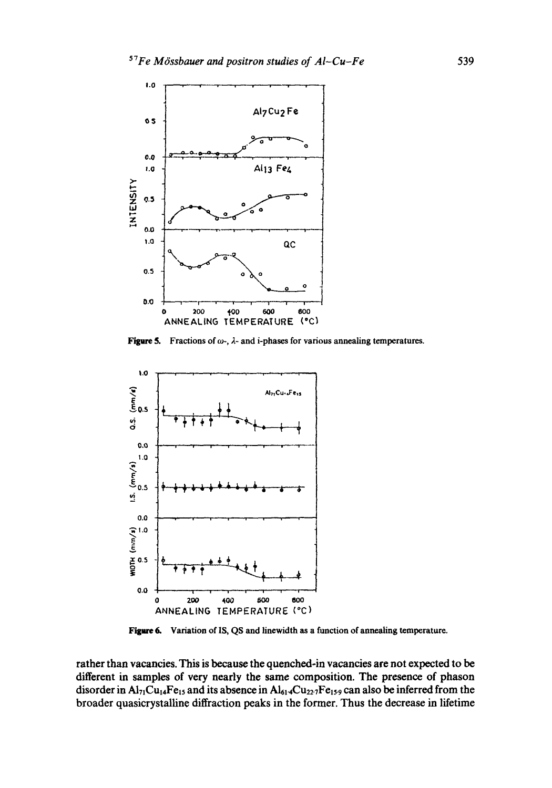

**Figure 5.** Fractions of  $\omega$ -,  $\lambda$ - and i-phases for various annealing temperatures.



Figure 6. Variation of IS, QS and linewidth as a function of annealing temperature.

rather than vacancies. This is because the quenched-in vacancies are not expected to be different in samples of very nearly the same composition. The presence of phason disorder in  $Al_{71}Cu_{14}Fe_{15}$  and its absence in  $Al_{614}Cu_{227}Fe_{159}$  can also be inferred from the broader quasicrystalline diffraction peaks in the former. Thus the decrease in lifetime